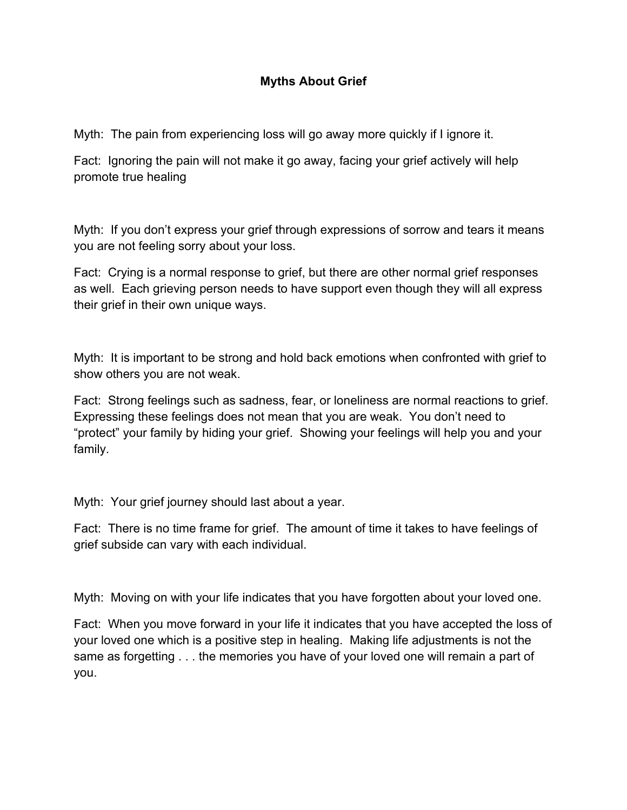## **Myths About Grief**

Myth: The pain from experiencing loss will go away more quickly if I ignore it.

Fact: Ignoring the pain will not make it go away, facing your grief actively will help promote true healing

Myth: If you don't express your grief through expressions of sorrow and tears it means you are not feeling sorry about your loss.

Fact: Crying is a normal response to grief, but there are other normal grief responses as well. Each grieving person needs to have support even though they will all express their grief in their own unique ways.

Myth: It is important to be strong and hold back emotions when confronted with grief to show others you are not weak.

Fact: Strong feelings such as sadness, fear, or loneliness are normal reactions to grief. Expressing these feelings does not mean that you are weak. You don't need to "protect" your family by hiding your grief. Showing your feelings will help you and your family.

Myth: Your grief journey should last about a year.

Fact: There is no time frame for grief. The amount of time it takes to have feelings of grief subside can vary with each individual.

Myth: Moving on with your life indicates that you have forgotten about your loved one.

Fact: When you move forward in your life it indicates that you have accepted the loss of your loved one which is a positive step in healing. Making life adjustments is not the same as forgetting . . . the memories you have of your loved one will remain a part of you.